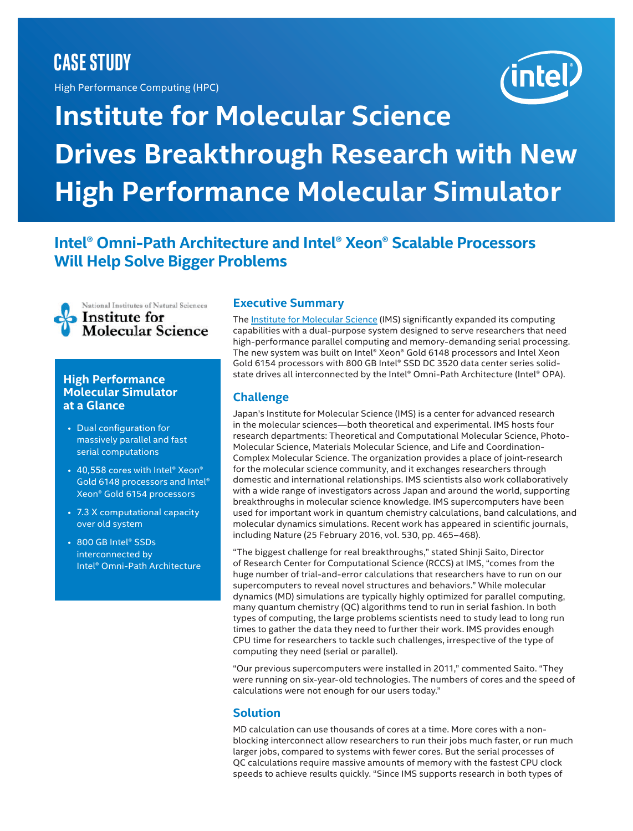# **CASE STUDY**

High Performance Computing (HPC)

# **Institute for Molecular Science Drives Breakthrough Research with New High Performance Molecular Simulator**

## **Intel® Omni-Path Architecture and Intel® Xeon® Scalable Processors Will Help Solve Bigger Problems**



#### **High Performance Molecular Simulator at a Glance**

- Dual configuration for massively parallel and fast serial computations
- 40,558 cores with Intel® Xeon® Gold 6148 processors and Intel® Xeon® Gold 6154 processors
- 7.3 X computational capacity over old system
- 800 GB Intel® SSDs interconnected by Intel® Omni-Path Architecture

#### **Executive Summary**

The [Institute for Molecular Science \(IMS\)](http://www.ims.ac.jp/) significantly expanded its computing capabilities with a dual-purpose system designed to serve researchers that need high-performance parallel computing and memory-demanding serial processing. The new system was built on Intel® Xeon® Gold 6148 processors and Intel Xeon Gold 6154 processors with 800 GB Intel® SSD DC 3520 data center series solidstate drives all interconnected by the Intel® Omni-Path Architecture (Intel® OPA).

### **Challenge**

Japan's [Institute for Molecular Science \(IMS\)](http://www.ims.ac.jp) is a center for advanced research in the molecular sciences—both theoretical and experimental. IMS hosts four research departments: Theoretical and Computational Molecular Science, Photo-Molecular Science, Materials Molecular Science, and Life and Coordination-Complex Molecular Science. The organization provides a place of joint-research for the molecular science community, and it exchanges researchers through domestic and international relationships. IMS scientists also work collaboratively with a wide range of investigators across Japan and around the world, supporting breakthroughs in molecular science knowledge. IMS supercomputers have been used for important work in quantum chemistry calculations, band calculations, and molecular dynamics simulations. Recent work has appeared in scientific journals, including Nature (25 February 2016, vol. 530, pp. 465–468).

"The biggest challenge for real breakthroughs," stated Shinji Saito, Director of Research Center for Computational Science (RCCS) at IMS, "comes from the huge number of trial-and-error calculations that researchers have to run on our supercomputers to reveal novel structures and behaviors." While molecular dynamics (MD) simulations are typically highly optimized for parallel computing, many quantum chemistry (QC) algorithms tend to run in serial fashion. In both types of computing, the large problems scientists need to study lead to long run times to gather the data they need to further their work. IMS provides enough CPU time for researchers to tackle such challenges, irrespective of the type of computing they need (serial or parallel).

"Our previous supercomputers were installed in 2011," commented Saito. "They were running on six-year-old technologies. The numbers of cores and the speed of calculations were not enough for our users today."

#### **Solution**

MD calculation can use thousands of cores at a time. More cores with a nonblocking interconnect allow researchers to run their jobs much faster, or run much larger jobs, compared to systems with fewer cores. But the serial processes of QC calculations require massive amounts of memory with the fastest CPU clock speeds to achieve results quickly. "Since IMS supports research in both types of